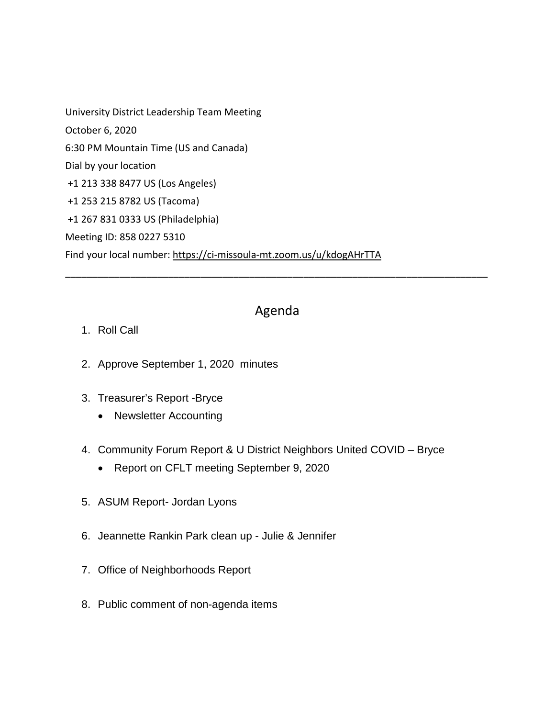University District Leadership Team Meeting October 6, 2020 6:30 PM Mountain Time (US and Canada) Dial by your location +1 213 338 8477 US (Los Angeles) +1 253 215 8782 US (Tacoma) +1 267 831 0333 US (Philadelphia) Meeting ID: 858 0227 5310 Find your local number: <https://ci-missoula-mt.zoom.us/u/kdogAHrTTA>

## Agenda

\_\_\_\_\_\_\_\_\_\_\_\_\_\_\_\_\_\_\_\_\_\_\_\_\_\_\_\_\_\_\_\_\_\_\_\_\_\_\_\_\_\_\_\_\_\_\_\_\_\_\_\_\_\_\_\_\_\_\_\_\_\_\_\_\_\_\_\_\_\_\_\_\_\_\_\_\_\_

- 1. Roll Call
- 2. Approve September 1, 2020 minutes
- 3. Treasurer's Report -Bryce
	- Newsletter Accounting
- 4. Community Forum Report & U District Neighbors United COVID Bryce
	- Report on CFLT meeting September 9, 2020
- 5. ASUM Report- Jordan Lyons
- 6. Jeannette Rankin Park clean up Julie & Jennifer
- 7. Office of Neighborhoods Report
- 8. Public comment of non-agenda items